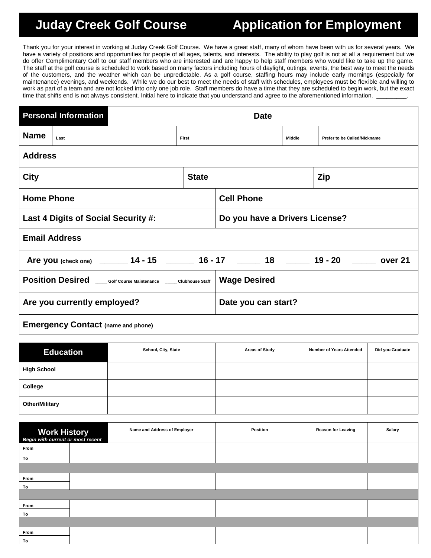## **Juday Creek Golf Course Application for Employment**

Thank you for your interest in working at Juday Creek Golf Course. We have a great staff, many of whom have been with us for several years. We have a variety of positions and opportunities for people of all ages, talents, and interests. The ability to play golf is not at all a requirement but we do offer Complimentary Golf to our staff members who are interested and are happy to help staff members who would like to take up the game. The staff at the golf course is scheduled to work based on many factors including hours of daylight, outings, events, the best way to meet the needs of the customers, and the weather which can be unpredictable. As a golf course, staffing hours may include early mornings (especially for maintenance) evenings, and weekends. While we do our best to meet the needs of staff with schedules, employees must be flexible and willing to work as part of a team and are not locked into only one job role. Staff members do have a time that they are scheduled to begin work, but the exact time that shifts end is not always consistent. Initial here to indicate that you understand and agree to the aforementioned information.

|                                                                                            | <b>Personal Information</b> |  |                                | <b>Date</b>       |        |                                     |  |
|--------------------------------------------------------------------------------------------|-----------------------------|--|--------------------------------|-------------------|--------|-------------------------------------|--|
| <b>Name</b>                                                                                | Last                        |  | First                          |                   | Middle | <b>Prefer to be Called/Nickname</b> |  |
| <b>Address</b>                                                                             |                             |  |                                |                   |        |                                     |  |
| <b>City</b>                                                                                |                             |  | <b>State</b>                   | Zip               |        |                                     |  |
| <b>Home Phone</b>                                                                          |                             |  |                                | <b>Cell Phone</b> |        |                                     |  |
| Last 4 Digits of Social Security #:                                                        |                             |  | Do you have a Drivers License? |                   |        |                                     |  |
| <b>Email Address</b>                                                                       |                             |  |                                |                   |        |                                     |  |
| Are you (check one) _______ 14 - 15 _______ 16 - 17 ______ 18 ______ 19 - 20 _____ over 21 |                             |  |                                |                   |        |                                     |  |
| Position Desired ____Golf Course Maintenance _____ Clubhouse Staff                         |                             |  | <b>Wage Desired</b>            |                   |        |                                     |  |
| Are you currently employed?                                                                |                             |  | Date you can start?            |                   |        |                                     |  |
| <b>Emergency Contact (name and phone)</b>                                                  |                             |  |                                |                   |        |                                     |  |

| <b>Education</b>      | School, City, State | <b>Areas of Study</b> | <b>Number of Years Attended</b> | Did you Graduate |
|-----------------------|---------------------|-----------------------|---------------------------------|------------------|
| <b>High School</b>    |                     |                       |                                 |                  |
| College               |                     |                       |                                 |                  |
| <b>Other/Military</b> |                     |                       |                                 |                  |

| Work History<br>Begin with current or most recent | Name and Address of Employer | Position | <b>Reason for Leaving</b> | <b>Salary</b> |
|---------------------------------------------------|------------------------------|----------|---------------------------|---------------|
| From                                              |                              |          |                           |               |
| To                                                |                              |          |                           |               |
|                                                   |                              |          |                           |               |
| From                                              |                              |          |                           |               |
| To                                                |                              |          |                           |               |
|                                                   |                              |          |                           |               |
| From                                              |                              |          |                           |               |
| To                                                |                              |          |                           |               |
|                                                   |                              |          |                           |               |
| From                                              |                              |          |                           |               |
| To                                                |                              |          |                           |               |